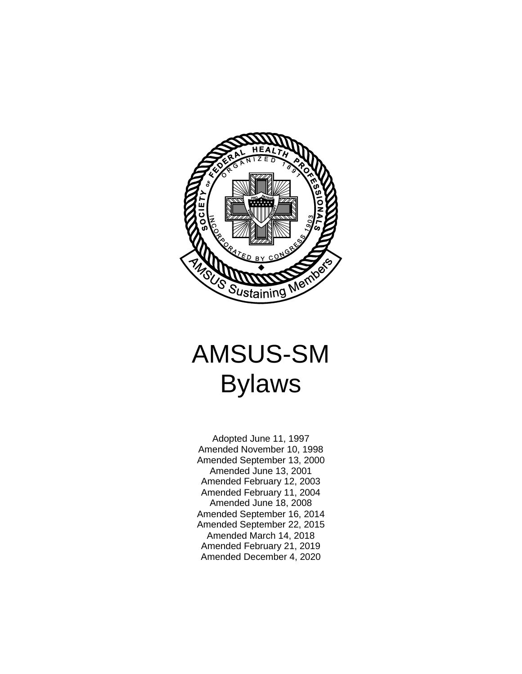

# AMSUS-SM Bylaws

Adopted June 11, 1997 Amended November 10, 1998 Amended September 13, 2000 Amended June 13, 2001 Amended February 12, 2003 Amended February 11, 2004 Amended June 18, 2008 Amended September 16, 2014 Amended September 22, 2015 Amended March 14, 2018 Amended February 21, 2019 Amended December 4, 2020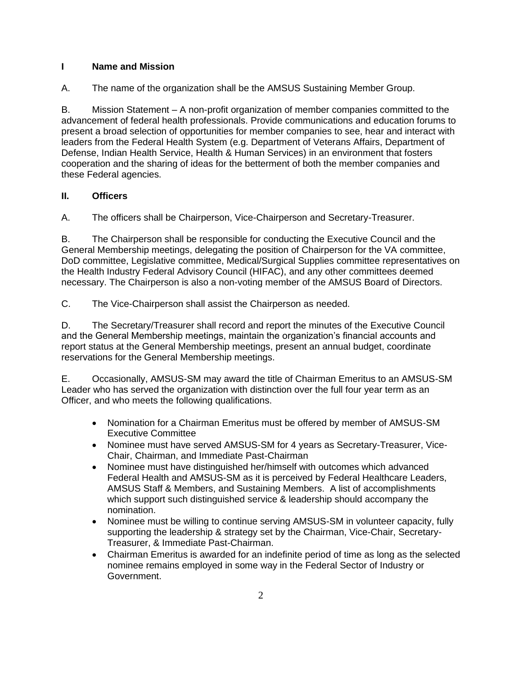## **I Name and Mission**

A. The name of the organization shall be the AMSUS Sustaining Member Group.

B. Mission Statement – A non-profit organization of member companies committed to the advancement of federal health professionals. Provide communications and education forums to present a broad selection of opportunities for member companies to see, hear and interact with leaders from the Federal Health System (e.g. Department of Veterans Affairs, Department of Defense, Indian Health Service, Health & Human Services) in an environment that fosters cooperation and the sharing of ideas for the betterment of both the member companies and these Federal agencies.

# **II. Officers**

A. The officers shall be Chairperson, Vice-Chairperson and Secretary-Treasurer.

B. The Chairperson shall be responsible for conducting the Executive Council and the General Membership meetings, delegating the position of Chairperson for the VA committee, DoD committee, Legislative committee, Medical/Surgical Supplies committee representatives on the Health Industry Federal Advisory Council (HIFAC), and any other committees deemed necessary. The Chairperson is also a non-voting member of the AMSUS Board of Directors.

C. The Vice-Chairperson shall assist the Chairperson as needed.

D. The Secretary/Treasurer shall record and report the minutes of the Executive Council and the General Membership meetings, maintain the organization's financial accounts and report status at the General Membership meetings, present an annual budget, coordinate reservations for the General Membership meetings.

E. Occasionally, AMSUS-SM may award the title of Chairman Emeritus to an AMSUS-SM Leader who has served the organization with distinction over the full four year term as an Officer, and who meets the following qualifications.

- Nomination for a Chairman Emeritus must be offered by member of AMSUS-SM Executive Committee
- Nominee must have served AMSUS-SM for 4 years as Secretary-Treasurer, Vice-Chair, Chairman, and Immediate Past-Chairman
- Nominee must have distinguished her/himself with outcomes which advanced Federal Health and AMSUS-SM as it is perceived by Federal Healthcare Leaders, AMSUS Staff & Members, and Sustaining Members. A list of accomplishments which support such distinguished service & leadership should accompany the nomination.
- Nominee must be willing to continue serving AMSUS-SM in volunteer capacity, fully supporting the leadership & strategy set by the Chairman, Vice-Chair, Secretary-Treasurer, & Immediate Past-Chairman.
- Chairman Emeritus is awarded for an indefinite period of time as long as the selected nominee remains employed in some way in the Federal Sector of Industry or Government.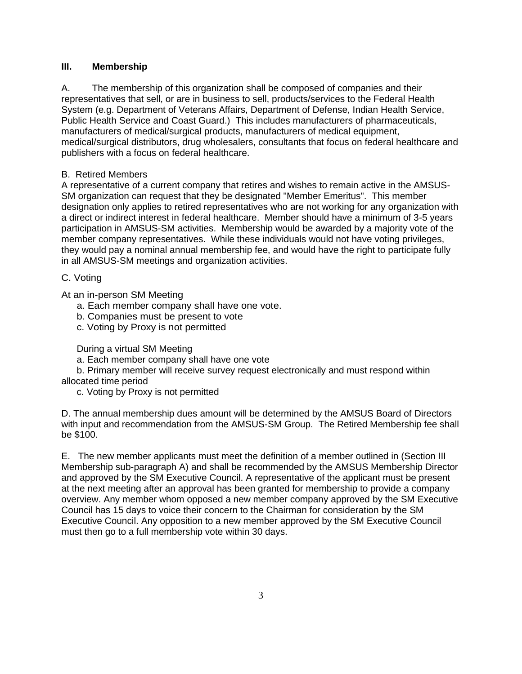#### **III. Membership**

A. The membership of this organization shall be composed of companies and their representatives that sell, or are in business to sell, products/services to the Federal Health System (e.g. Department of Veterans Affairs, Department of Defense, Indian Health Service, Public Health Service and Coast Guard.)This includes manufacturers of pharmaceuticals, manufacturers of medical/surgical products, manufacturers of medical equipment, medical/surgical distributors, drug wholesalers, consultants that focus on federal healthcare and publishers with a focus on federal healthcare.

#### B. Retired Members

A representative of a current company that retires and wishes to remain active in the AMSUS-SM organization can request that they be designated "Member Emeritus". This member designation only applies to retired representatives who are not working for any organization with a direct or indirect interest in federal healthcare. Member should have a minimum of 3-5 years participation in AMSUS-SM activities. Membership would be awarded by a majority vote of the member company representatives. While these individuals would not have voting privileges, they would pay a nominal annual membership fee, and would have the right to participate fully in all AMSUS-SM meetings and organization activities.

#### C. Voting

At an in-person SM Meeting

- a. Each member company shall have one vote.
- b. Companies must be present to vote
- c. Voting by Proxy is not permitted

During a virtual SM Meeting

a. Each member company shall have one vote

b. Primary member will receive survey request electronically and must respond within allocated time period

c. Voting by Proxy is not permitted

D. The annual membership dues amount will be determined by the AMSUS Board of Directors with input and recommendation from the AMSUS-SM Group. The Retired Membership fee shall be \$100.

E. The new member applicants must meet the definition of a member outlined in (Section III Membership sub-paragraph A) and shall be recommended by the AMSUS Membership Director and approved by the SM Executive Council. A representative of the applicant must be present at the next meeting after an approval has been granted for membership to provide a company overview. Any member whom opposed a new member company approved by the SM Executive Council has 15 days to voice their concern to the Chairman for consideration by the SM Executive Council. Any opposition to a new member approved by the SM Executive Council must then go to a full membership vote within 30 days.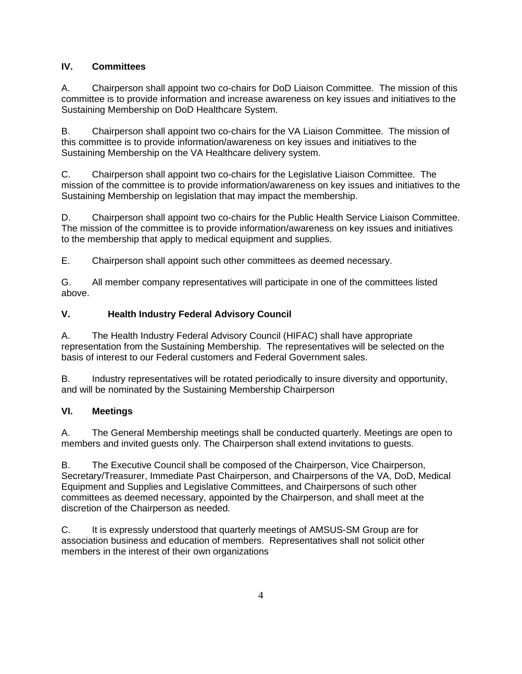# **IV. Committees**

A. Chairperson shall appoint two co-chairs for DoD Liaison Committee. The mission of this committee is to provide information and increase awareness on key issues and initiatives to the Sustaining Membership on DoD Healthcare System.

B. Chairperson shall appoint two co-chairs for the VA Liaison Committee. The mission of this committee is to provide information/awareness on key issues and initiatives to the Sustaining Membership on the VA Healthcare delivery system.

C. Chairperson shall appoint two co-chairs for the Legislative Liaison Committee. The mission of the committee is to provide information/awareness on key issues and initiatives to the Sustaining Membership on legislation that may impact the membership.

D. Chairperson shall appoint two co-chairs for the Public Health Service Liaison Committee. The mission of the committee is to provide information/awareness on key issues and initiatives to the membership that apply to medical equipment and supplies.

E. Chairperson shall appoint such other committees as deemed necessary.

G. All member company representatives will participate in one of the committees listed above.

# **V. Health Industry Federal Advisory Council**

A. The Health Industry Federal Advisory Council (HIFAC) shall have appropriate representation from the Sustaining Membership. The representatives will be selected on the basis of interest to our Federal customers and Federal Government sales.

B. Industry representatives will be rotated periodically to insure diversity and opportunity, and will be nominated by the Sustaining Membership Chairperson

## **VI. Meetings**

A. The General Membership meetings shall be conducted quarterly. Meetings are open to members and invited guests only. The Chairperson shall extend invitations to guests.

B. The Executive Council shall be composed of the Chairperson, Vice Chairperson, Secretary/Treasurer, Immediate Past Chairperson, and Chairpersons of the VA, DoD, Medical Equipment and Supplies and Legislative Committees, and Chairpersons of such other committees as deemed necessary, appointed by the Chairperson, and shall meet at the discretion of the Chairperson as needed.

C. It is expressly understood that quarterly meetings of AMSUS-SM Group are for association business and education of members. Representatives shall not solicit other members in the interest of their own organizations